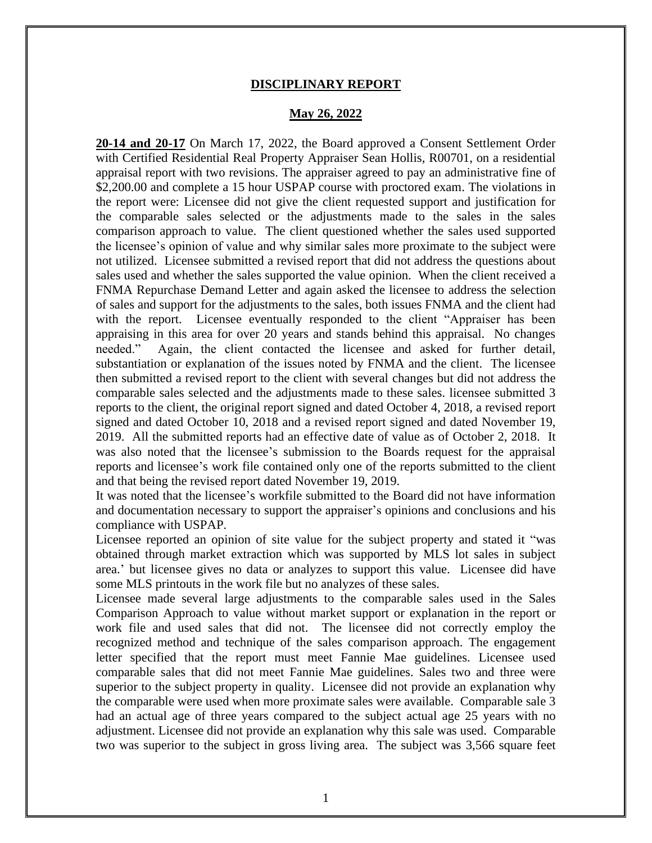## **DISCIPLINARY REPORT**

## **May 26, 2022**

**20-14 and 20-17** On March 17, 2022, the Board approved a Consent Settlement Order with Certified Residential Real Property Appraiser Sean Hollis, R00701, on a residential appraisal report with two revisions. The appraiser agreed to pay an administrative fine of \$2,200.00 and complete a 15 hour USPAP course with proctored exam. The violations in the report were: Licensee did not give the client requested support and justification for the comparable sales selected or the adjustments made to the sales in the sales comparison approach to value. The client questioned whether the sales used supported the licensee's opinion of value and why similar sales more proximate to the subject were not utilized. Licensee submitted a revised report that did not address the questions about sales used and whether the sales supported the value opinion. When the client received a FNMA Repurchase Demand Letter and again asked the licensee to address the selection of sales and support for the adjustments to the sales, both issues FNMA and the client had with the report. Licensee eventually responded to the client "Appraiser has been appraising in this area for over 20 years and stands behind this appraisal. No changes needed." Again, the client contacted the licensee and asked for further detail, substantiation or explanation of the issues noted by FNMA and the client. The licensee then submitted a revised report to the client with several changes but did not address the comparable sales selected and the adjustments made to these sales. licensee submitted 3 reports to the client, the original report signed and dated October 4, 2018, a revised report signed and dated October 10, 2018 and a revised report signed and dated November 19, 2019. All the submitted reports had an effective date of value as of October 2, 2018. It was also noted that the licensee's submission to the Boards request for the appraisal reports and licensee's work file contained only one of the reports submitted to the client and that being the revised report dated November 19, 2019.

It was noted that the licensee's workfile submitted to the Board did not have information and documentation necessary to support the appraiser's opinions and conclusions and his compliance with USPAP.

Licensee reported an opinion of site value for the subject property and stated it "was obtained through market extraction which was supported by MLS lot sales in subject area.' but licensee gives no data or analyzes to support this value. Licensee did have some MLS printouts in the work file but no analyzes of these sales.

Licensee made several large adjustments to the comparable sales used in the Sales Comparison Approach to value without market support or explanation in the report or work file and used sales that did not. The licensee did not correctly employ the recognized method and technique of the sales comparison approach. The engagement letter specified that the report must meet Fannie Mae guidelines. Licensee used comparable sales that did not meet Fannie Mae guidelines. Sales two and three were superior to the subject property in quality. Licensee did not provide an explanation why the comparable were used when more proximate sales were available. Comparable sale 3 had an actual age of three years compared to the subject actual age 25 years with no adjustment. Licensee did not provide an explanation why this sale was used. Comparable two was superior to the subject in gross living area. The subject was 3,566 square feet